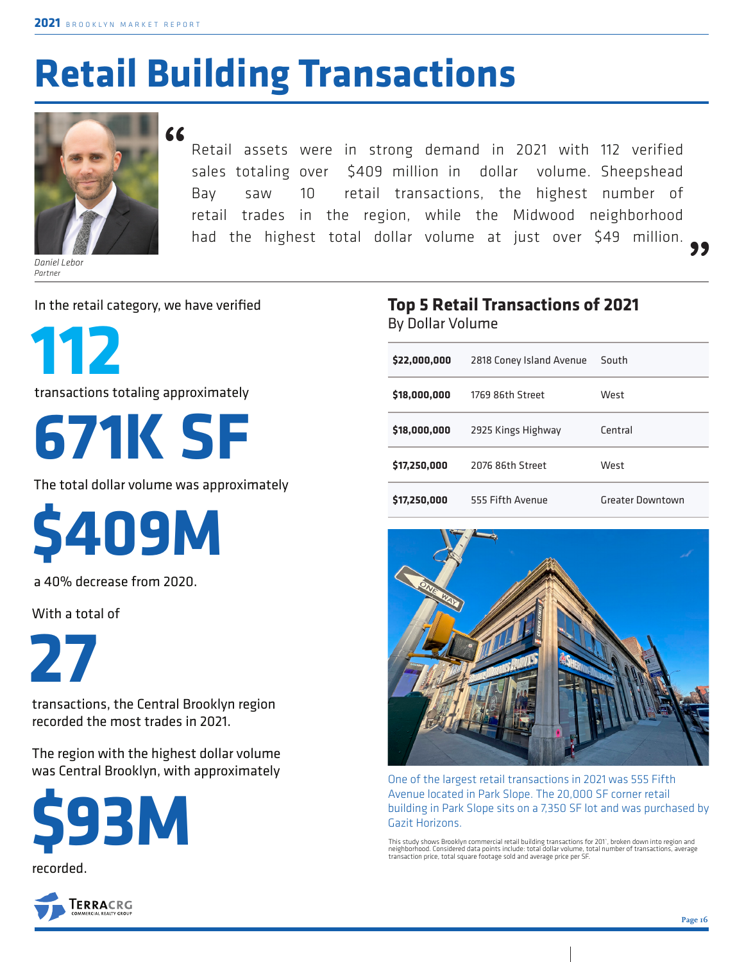## **Retail Building Transactions**



*Daniel Lebor Partner*

#### **"**

Retail assets were in strong demand in 2021 with 112 verified sales totaling over \$409 million in dollar volume. Sheepshead Bay saw 10 retail transactions, the highest number of retail trades in the region, while the Midwood neighborhood had the highest total dollar volume at just over \$49 million. **"**

In the retail category, we have verified

**112**

transactions totaling approximately

# **671K SF**

The total dollar volume was approximately

**\$409M**

a 40% decrease from 2020.

With a total of

**27** 

transactions, the Central Brooklyn region recorded the most trades in 2021.

The region with the highest dollar volume was Central Brooklyn, with approximately





#### **Top 5 Retail Transactions of 2021**  By Dollar Volume

| \$22,000,000 | 2818 Coney Island Avenue | South            |
|--------------|--------------------------|------------------|
| \$18,000,000 | 1769 86th Street         | West             |
| \$18,000,000 | 2925 Kings Highway       | Central          |
| \$17,250,000 | 2076 86th Street         | West             |
| \$17,250,000 | 555 Fifth Avenue         | Greater Downtown |



One of the largest retail transactions in 2021 was 555 Fifth Avenue located in Park Slope. The 20,000 SF corner retail building in Park Slope sits on a 7,350 SF lot and was purchased by Gazit Horizons.

This study shows Brooklyn commercial retail building transactions for 201°, broken down into region and<br>neighborhood. Considered data points include: total dollar volume, total number of transactions, average<br>transaction p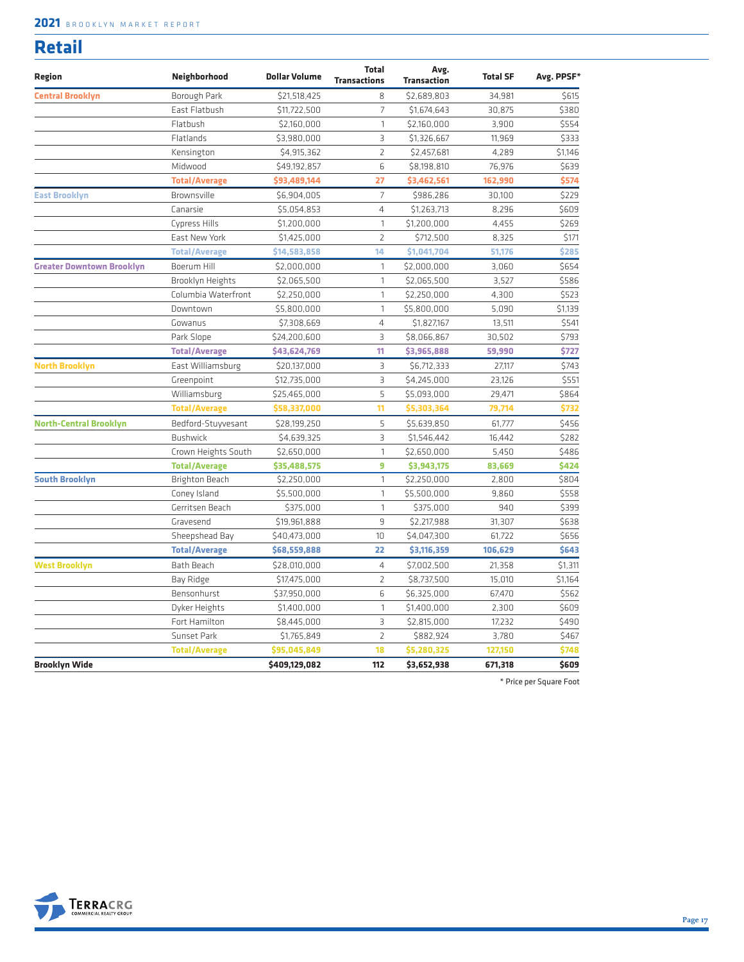#### **2021** BROOKLYN MARKET REPORT

| . .<br>. .<br>۰.<br>. . |  |
|-------------------------|--|

| Region                           | Neighborhood          | <b>Dollar Volume</b> | <b>Total</b><br><b>Transactions</b> | Avg.<br><b>Transaction</b> | <b>Total SF</b> | Avg. PPSF* |
|----------------------------------|-----------------------|----------------------|-------------------------------------|----------------------------|-----------------|------------|
| <b>Central Brooklyn</b>          | Borough Park          | \$21,518,425         | 8                                   | \$2.689.803                | 34,981          | \$615      |
|                                  | East Flatbush         | \$11,722,500         | $\overline{7}$                      | \$1,674,643                | 30,875          | \$380      |
|                                  | Flatbush              | \$2,160,000          | $\mathbf{1}$                        | \$2,160,000                | 3,900           | \$554      |
|                                  | Flatlands             | \$3,980,000          | $\overline{3}$                      | \$1,326,667                | 11,969          | \$333      |
|                                  | Kensington            | \$4,915,362          | $\overline{2}$                      | \$2,457,681                | 4.289           | \$1.146    |
|                                  | Midwood               | \$49,192,857         | 6                                   | \$8,198,810                | 76,976          | \$639      |
|                                  | <b>Total/Average</b>  | \$93,489,144         | 27                                  | \$3,462,561                | 162,990         | \$574      |
| <b>East Brooklyn</b>             | Brownsville           | \$6,904,005          | $\overline{7}$                      | \$986,286                  | 30,100          | \$229      |
|                                  | Canarsie              | \$5,054,853          | 4                                   | \$1,263,713                | 8,296           | \$609      |
|                                  | Cypress Hills         | \$1,200,000          | $\mathbf{1}$                        | \$1,200,000                | 4,455           | \$269      |
|                                  | East New York         | \$1,425,000          | $\overline{2}$                      | \$712,500                  | 8,325           | \$171      |
|                                  | <b>Total/Average</b>  | \$14,583,858         | 14                                  | \$1,041,704                | 51,176          | \$285      |
| <b>Greater Downtown Brooklyn</b> | Boerum Hill           | \$2,000,000          | $\mathbf{1}$                        | \$2,000,000                | 3,060           | \$654      |
|                                  | Brooklyn Heights      | \$2,065,500          | 1                                   | \$2,065,500                | 3,527           | \$586      |
|                                  | Columbia Waterfront   | \$2,250,000          | 1                                   | \$2,250,000                | 4,300           | \$523      |
|                                  | Downtown              | \$5,800,000          | $\mathbf{1}$                        | \$5,800,000                | 5,090           | \$1,139    |
|                                  | Gowanus               | \$7,308,669          | 4                                   | \$1,827,167                | 13,511          | \$541      |
|                                  | Park Slope            | \$24,200,600         | 3                                   | \$8,066,867                | 30,502          | \$793      |
|                                  | <b>Total/Average</b>  | \$43,624,769         | 11                                  | \$3,965,888                | 59,990          | \$727      |
| <b>North Brooklyn</b>            | East Williamsburg     | \$20,137,000         | 3                                   | \$6,712,333                | 27,117          | \$743      |
|                                  | Greenpoint            | \$12,735,000         | $\overline{3}$                      | \$4,245,000                | 23,126          | \$551      |
|                                  | Williamsburg          | \$25,465,000         | 5                                   | \$5,093,000                | 29,471          | \$864      |
|                                  | <b>Total/Average</b>  | \$58,337,000         | 11                                  | \$5,303,364                | 79,714          | \$732      |
| <b>North-Central Brooklyn</b>    | Bedford-Stuyvesant    | \$28,199,250         | 5                                   | \$5,639,850                | 61,777          | \$456      |
|                                  | <b>Bushwick</b>       | \$4,639,325          | $\overline{3}$                      | \$1,546,442                | 16,442          | \$282      |
|                                  | Crown Heights South   | \$2,650,000          | $\mathbf{1}$                        | \$2,650,000                | 5,450           | \$486      |
|                                  | <b>Total/Average</b>  | \$35,488,575         | 9                                   | \$3,943,175                | 83,669          | \$424      |
| <b>South Brooklyn</b>            | <b>Brighton Beach</b> | \$2,250,000          | $\mathbf{1}$                        | \$2,250,000                | 2,800           | \$804      |
|                                  | Coney Island          | \$5,500,000          | 1                                   | \$5,500,000                | 9,860           | \$558      |
|                                  | Gerritsen Beach       | \$375,000            | $\mathbf{1}$                        | \$375,000                  | 940             | \$399      |
|                                  | Gravesend             | \$19,961,888         | 9                                   | \$2,217,988                | 31,307          | \$638      |
|                                  | Sheepshead Bay        | \$40,473,000         | 10                                  | \$4,047,300                | 61,722          | \$656      |
|                                  | <b>Total/Average</b>  | \$68,559,888         | 22                                  | \$3,116,359                | 106,629         | \$643      |
| <b>West Brooklyn</b>             | Bath Beach            | \$28,010,000         | 4                                   | \$7,002,500                | 21,358          | \$1,311    |
|                                  | Bay Ridge             | \$17,475,000         | $\overline{2}$                      | \$8,737,500                | 15,010          | \$1,164    |
|                                  | Bensonhurst           | \$37,950,000         | 6                                   | \$6,325,000                | 67,470          | \$562      |
|                                  | Dyker Heights         | \$1,400,000          | 1                                   | \$1,400,000                | 2,300           | \$609      |
|                                  | Fort Hamilton         | \$8,445,000          | 3                                   | \$2,815,000                | 17,232          | \$490      |
|                                  | Sunset Park           | \$1,765,849          | $\overline{2}$                      | \$882,924                  | 3,780           | \$467      |
|                                  | <b>Total/Average</b>  | \$95,045,849         | 18                                  | \$5,280,325                | 127,150         | \$748      |
| <b>Brooklyn Wide</b>             |                       | \$409,129,082        | 112                                 | \$3,652,938                | 671,318         | \$609      |

\* Price per Square Foot